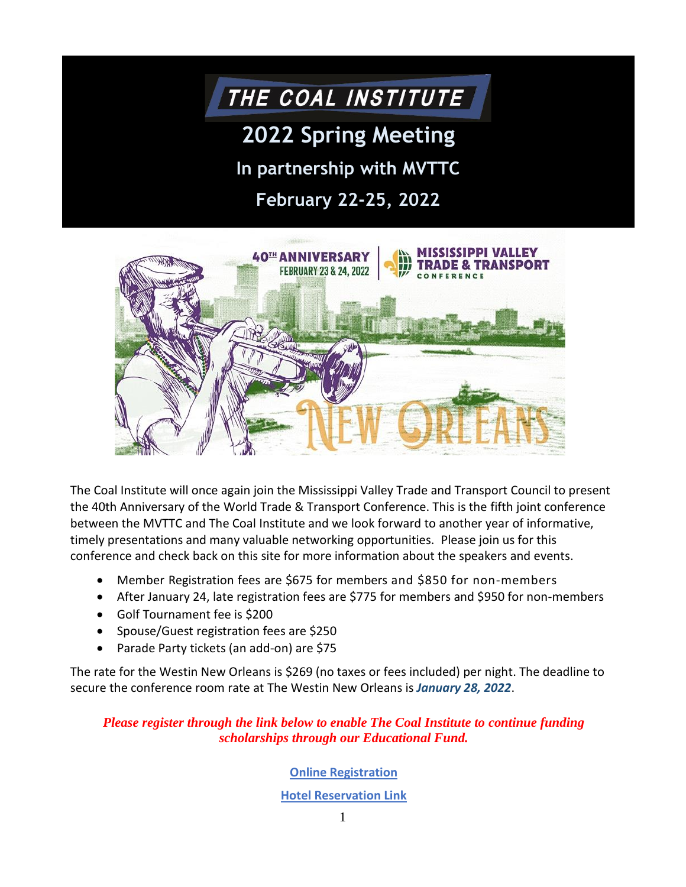## THE COAL INSTITUTE

# **2022 Spring Meeting**

**In partnership with MVTTC**

**February 22-25, 2022**



The Coal Institute will once again join the Mississippi Valley Trade and Transport Council to present the 40th Anniversary of the World Trade & Transport Conference. This is the fifth joint conference between the MVTTC and The Coal Institute and we look forward to another year of informative, timely presentations and many valuable networking opportunities. Please join us for this conference and check back on this site for more information about the speakers and events.

- Member Registration fees are \$675 for members and \$850 for non-members
- After January 24, late registration fees are \$775 for members and \$950 for non-members
- Golf Tournament fee is \$200
- Spouse/Guest registration fees are \$250
- Parade Party tickets (an add-on) are \$75

The rate for the Westin New Orleans is \$269 (no taxes or fees included) per night. The deadline to secure the conference room rate at The Westin New Orleans is *January 28, 2022*.

#### *Please register through the link below to enable The Coal Institute to continue funding scholarships through our Educational Fund.*

#### **[Online Registration](https://nccoalinstitute.wufoo.com/forms/z14whq2b0gr2vo6/)**

#### **[Hotel Reservation Link](https://www.marriott.com/events/start.mi?id=1632848624721&key=GRP)**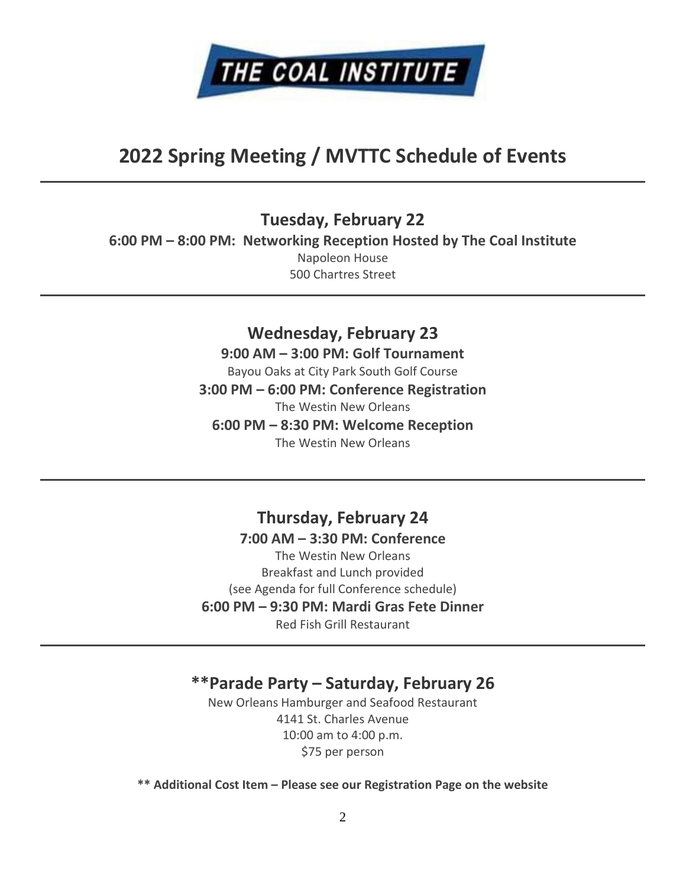

## **2022 Spring Meeting / MVTTC Schedule of Events**

**Tuesday, February 22 6:00 PM – 8:00 PM: Networking Reception Hosted by The Coal Institute** Napoleon House 500 Chartres Street

> **Wednesday, February 23 9:00 AM – 3:00 PM: Golf Tournament** Bayou Oaks at City Park South Golf Course **3:00 PM – 6:00 PM: Conference Registration** The Westin New Orleans **6:00 PM – 8:30 PM: Welcome Reception** The Westin New Orleans

> **Thursday, February 24 7:00 AM – 3:30 PM: Conference** The Westin New Orleans Breakfast and Lunch provided (see Agenda for full Conference schedule) **6:00 PM – 9:30 PM: Mardi Gras Fete Dinner** Red Fish Grill Restaurant

#### **\*\*Parade Party – Saturday, February 26**

New Orleans Hamburger and Seafood Restaurant 4141 St. Charles Avenue 10:00 am to 4:00 p.m. \$75 per person

**\*\* Additional Cost Item – Please see our Registration Page on the website**